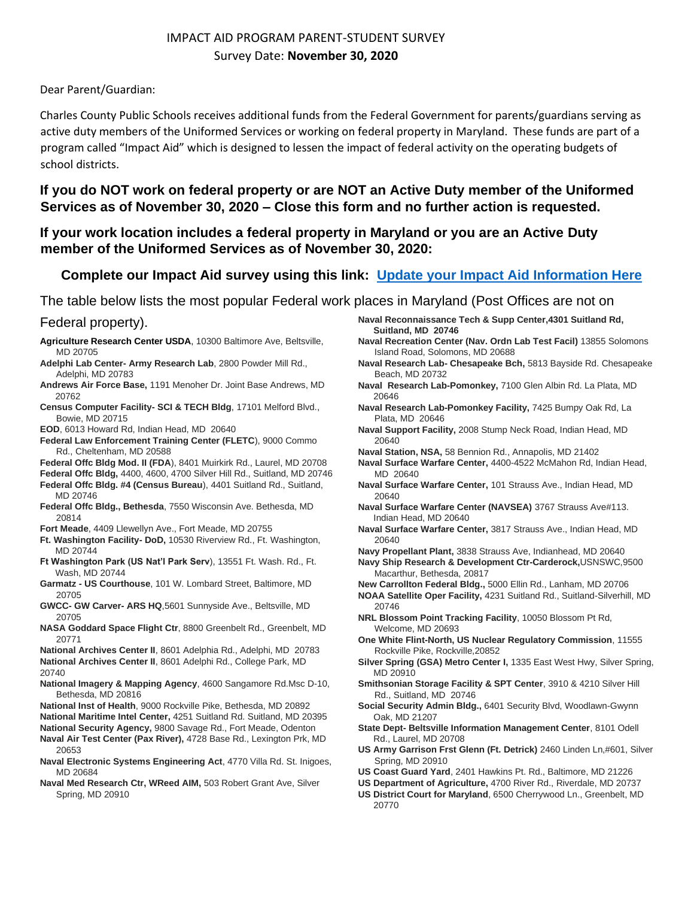## IMPACT AID PROGRAM PARENT-STUDENT SURVEY Survey Date: **November 30, 2020**

Dear Parent/Guardian:

Charles County Public Schools receives additional funds from the Federal Government for parents/guardians serving as active duty members of the Uniformed Services or working on federal property in Maryland. These funds are part of a program called "Impact Aid" which is designed to lessen the impact of federal activity on the operating budgets of school districts.

**If you do NOT work on federal property or are NOT an Active Duty member of the Uniformed Services as of November 30, 2020 – Close this form and no further action is requested.**

**If your work location includes a federal property in Maryland or you are an Active Duty member of the Uniformed Services as of November 30, 2020:** 

## **Complete our Impact Aid survey using this link: [Update your Impact Aid Information Here](https://md-ccps.edupoint.com/Frameset_PXP.aspx?P=Login_Parent_PXP.aspx)**

The table below lists the most popular Federal work places in Maryland (Post Offices are not on

## Federal property).

- **Agriculture Research Center USDA**, 10300 Baltimore Ave, Beltsville, MD 20705
- **Adelphi Lab Center- Army Research Lab**, 2800 Powder Mill Rd., Adelphi, MD 20783
- **Andrews Air Force Base,** 1191 Menoher Dr. Joint Base Andrews, MD 20762

**Census Computer Facility- SCI & TECH Bldg**, 17101 Melford Blvd., Bowie, MD 20715

**EOD**, 6013 Howard Rd, Indian Head, MD 20640

- **Federal Law Enforcement Training Center (FLETC**), 9000 Commo Rd., Cheltenham, MD 20588
- **Federal Offc Bldg Mod. II (FDA**), 8401 Muirkirk Rd., Laurel, MD 20708
- **Federal Offc Bldg,** 4400, 4600, 4700 Silver Hill Rd., Suitland, MD 20746
- Federal Offc Bldg. #4 (Census Bureau), 4401 Suitland Rd., Suitland, MD 20746
- **Federal Offc Bldg., Bethesda**, 7550 Wisconsin Ave. Bethesda, MD 20814
- **Fort Meade**, 4409 Llewellyn Ave., Fort Meade, MD 20755
- **Ft. Washington Facility- DoD,** 10530 Riverview Rd., Ft. Washington, MD 20744
- **Ft Washington Park (US Nat'l Park Serv**), 13551 Ft. Wash. Rd., Ft. Wash, MD 20744
- **Garmatz - US Courthouse**, 101 W. Lombard Street, Baltimore, MD 20705
- **GWCC- GW Carver- ARS HQ**,5601 Sunnyside Ave., Beltsville, MD 20705
- **NASA Goddard Space Flight Ctr**, 8800 Greenbelt Rd., Greenbelt, MD 20771
- **National Archives Center II**, 8601 Adelphia Rd., Adelphi, MD 20783 **National Archives Center II**, 8601 Adelphi Rd., College Park, MD 20740
- **National Imagery & Mapping Agency**, 4600 Sangamore Rd.Msc D-10, Bethesda, MD 20816
- **National Inst of Health**, 9000 Rockville Pike, Bethesda, MD 20892
- **National Maritime Intel Center,** 4251 Suitland Rd. Suitland, MD 20395
- **National Security Agency,** 9800 Savage Rd., Fort Meade, Odenton **Naval Air Test Center (Pax River),** 4728 Base Rd., Lexington Prk, MD 20653
- **Naval Electronic Systems Engineering Act**, 4770 Villa Rd. St. Inigoes, MD 20684
- **Naval Med Research Ctr, WReed AIM,** 503 Robert Grant Ave, Silver Spring, MD 20910
- **Naval Reconnaissance Tech & Supp Center,4301 Suitland Rd, Suitland, MD 20746**
- **Naval Recreation Center (Nav. Ordn Lab Test Facil)** 13855 Solomons Island Road, Solomons, MD 20688
- **Naval Research Lab- Chesapeake Bch,** 5813 Bayside Rd. Chesapeake Beach, MD 20732
- **Naval Research Lab-Pomonkey,** 7100 Glen Albin Rd. La Plata, MD 20646
- **Naval Research Lab-Pomonkey Facility,** 7425 Bumpy Oak Rd, La Plata, MD 20646
- **Naval Support Facility,** 2008 Stump Neck Road, Indian Head, MD 20640
- **Naval Station, NSA,** 58 Bennion Rd., Annapolis, MD 21402
- **Naval Surface Warfare Center,** 4400-4522 McMahon Rd, Indian Head, MD 20640
- **Naval Surface Warfare Center,** 101 Strauss Ave., Indian Head, MD 20640
- **Naval Surface Warfare Center (NAVSEA)** 3767 Strauss Ave#113. Indian Head, MD 20640
- **Naval Surface Warfare Center,** 3817 Strauss Ave., Indian Head, MD 20640
- **Navy Propellant Plant,** 3838 Strauss Ave, Indianhead, MD 20640
- **Navy Ship Research & Development Ctr-Carderock,**USNSWC,9500 Macarthur, Bethesda, 20817
- **New Carrollton Federal Bldg.,** 5000 Ellin Rd., Lanham, MD 20706

**NOAA Satellite Oper Facility,** 4231 Suitland Rd., Suitland-Silverhill, MD 20746

- **NRL Blossom Point Tracking Facility**, 10050 Blossom Pt Rd, Welcome, MD 20693
- **One White Flint-North, US Nuclear Regulatory Commission**, 11555 Rockville Pike, Rockville,20852
- **Silver Spring (GSA) Metro Center I,** 1335 East West Hwy, Silver Spring, MD 20910
- **Smithsonian Storage Facility & SPT Center**, 3910 & 4210 Silver Hill Rd., Suitland, MD 20746
- **Social Security Admin Bldg.,** 6401 Security Blvd, Woodlawn-Gwynn Oak, MD 21207
- **State Dept- Beltsville Information Management Center**, 8101 Odell Rd., Laurel, MD 20708
- **US Army Garrison Frst Glenn (Ft. Detrick)** 2460 Linden Ln,#601, Silver Spring, MD 20910
- **US Coast Guard Yard**, 2401 Hawkins Pt. Rd., Baltimore, MD 21226
- **US Department of Agriculture,** 4700 River Rd., Riverdale, MD 20737
- **US District Court for Maryland**, 6500 Cherrywood Ln., Greenbelt, MD 20770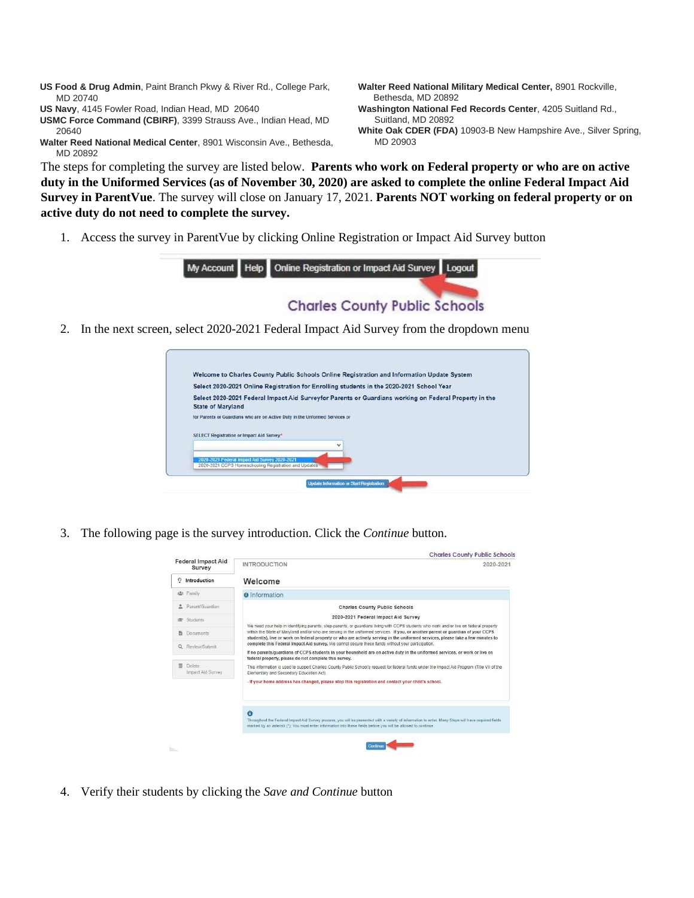- **US Food & Drug Admin**, Paint Branch Pkwy & River Rd., College Park, MD 20740
- **US Navy**, 4145 Fowler Road, Indian Head, MD 20640

**USMC Force Command (CBIRF)**, 3399 Strauss Ave., Indian Head, MD 20640

**Walter Reed National Medical Center**, 8901 Wisconsin Ave., Bethesda, MD 20892

- **Walter Reed National Military Medical Center,** 8901 Rockville, Bethesda, MD 20892
- **Washington National Fed Records Center**, 4205 Suitland Rd., Suitland, MD 20892
- **White Oak CDER (FDA)** 10903-B New Hampshire Ave., Silver Spring, MD 20903

The steps for completing the survey are listed below. **Parents who work on Federal property or who are on active duty in the Uniformed Services (as of November 30, 2020) are asked to complete the online Federal Impact Aid Survey in ParentVue**. The survey will close on January 17, 2021. **Parents NOT working on federal property or on active duty do not need to complete the survey.**

1. Access the survey in ParentVue by clicking Online Registration or Impact Aid Survey button



2. In the next screen, select 2020-2021 Federal Impact Aid Survey from the dropdown menu



3. The following page is the survey introduction. Click the *Continue* button.



4. Verify their students by clicking the *Save and Continue* button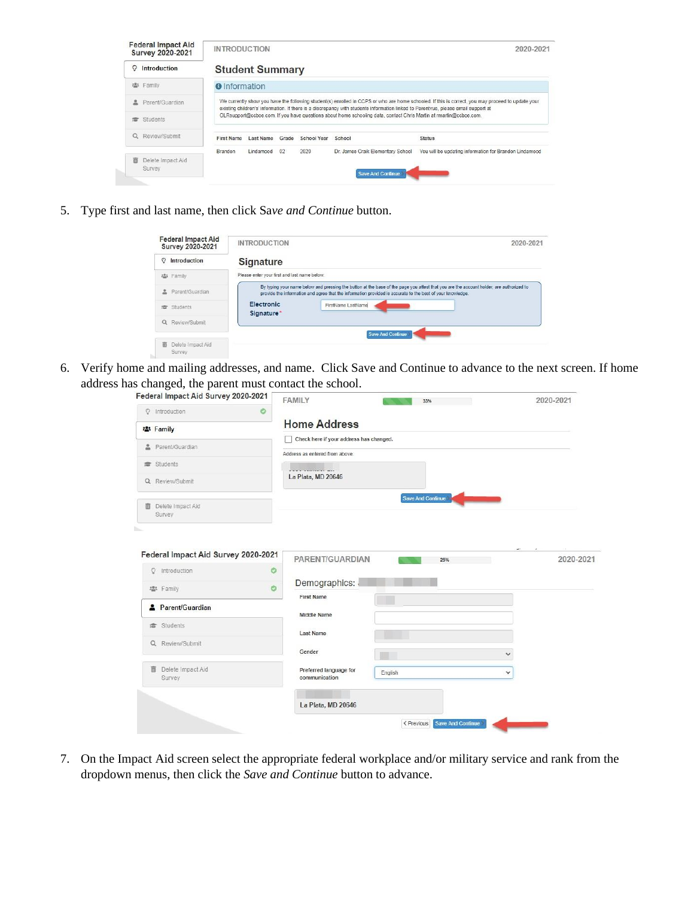| <b>Federal Impact Aid</b><br><b>Survey 2020-2021</b> | <b>INTRODUCTION</b>    |           |       |             |                                                                                                                                    | 2020-2021                                                                                                                                         |
|------------------------------------------------------|------------------------|-----------|-------|-------------|------------------------------------------------------------------------------------------------------------------------------------|---------------------------------------------------------------------------------------------------------------------------------------------------|
| Introduction<br>ဂ                                    | <b>Student Summary</b> |           |       |             |                                                                                                                                    |                                                                                                                                                   |
| 器 Family                                             | <b>O</b> Information   |           |       |             |                                                                                                                                    |                                                                                                                                                   |
| Parent/Guardian                                      |                        |           |       |             | existing children's' information. If there is a discrepancy with students information linked to Parentyue, please email support at | We currently show you have the following student(s) enrolled in CCPS or who are home schooled. If this is correct, you may proceed to update your |
| Students                                             |                        |           |       |             | OLRsupport@ccboe.com. If you have questions about home schooling data, contact Chris Martin at rmartin@ccboe.com.                  |                                                                                                                                                   |
| Review/Submit<br>Q                                   | <b>First Name</b>      | Last Name | Grade | School Year | School                                                                                                                             | <b>Status</b>                                                                                                                                     |
|                                                      | Brandon                | Lindamood | 02    | 2020        | Dr. James Craik Elementary School                                                                                                  | You will be updating information for Brandon Lindamood                                                                                            |
| Delete Impact Aid<br>Survey                          |                        |           |       |             | <b>Save And Continue</b>                                                                                                           |                                                                                                                                                   |

5. Type first and last name, then click Sa*ve and Continue* button.

|                   | <b>Federal Impact Aid</b><br>Survey 2020-2021 | <b>INTRODUCTION</b>                                                                                                                                                                                                                                   | 2020-2021 |
|-------------------|-----------------------------------------------|-------------------------------------------------------------------------------------------------------------------------------------------------------------------------------------------------------------------------------------------------------|-----------|
| Introduction<br>O |                                               | <b>Signature</b>                                                                                                                                                                                                                                      |           |
| 2. Family         |                                               | Please enter your first and last name below.                                                                                                                                                                                                          |           |
| 으                 | Parent/Guardian                               | By typing your name below and pressing the button at the base of the page you attest that you are the account holder, are authorized to<br>provide the information and agree that the information provided is accurate to the best of your knowledge. |           |
| Students<br>虚     |                                               | Electronic<br>FirstName LastName<br>Signature*                                                                                                                                                                                                        |           |
| Q                 | Review/Submit                                 |                                                                                                                                                                                                                                                       |           |
|                   |                                               | <b>Save And Continue</b>                                                                                                                                                                                                                              |           |
| 而<br>Survey       | Delete Impact Aid                             |                                                                                                                                                                                                                                                       |           |

6. Verify home and mailing addresses, and name. Click Save and Continue to advance to the next screen. If home address has changed, the parent must contact the school.

| Federal Impact Aid Survey 2020-2021 |         | <b>FAMILY</b>                           | 33%                      |                          | 2020-2021 |
|-------------------------------------|---------|-----------------------------------------|--------------------------|--------------------------|-----------|
| <b>Q</b> Introduction               | ۰       |                                         |                          |                          |           |
| <b>※ Family</b>                     |         | <b>Home Address</b>                     |                          |                          |           |
| Parent/Guardian                     |         | Check here if your address has changed. |                          |                          |           |
|                                     |         | Address as entered from above:          |                          |                          |           |
| students                            |         |                                         |                          |                          |           |
| Q Review/Submit                     |         | La Plata, MD 20646                      |                          |                          |           |
|                                     |         |                                         | <b>Save And Continue</b> |                          |           |
| Delete Impact Aid<br>而<br>Survey    |         |                                         |                          |                          |           |
| n.                                  |         |                                         |                          |                          |           |
|                                     |         |                                         |                          |                          |           |
| Federal Impact Aid Survey 2020-2021 |         |                                         |                          |                          |           |
| Introduction<br>$\mathcal{Q}$       | $\circ$ | PARENT/GUARDIAN                         | 25%                      |                          | 2020-2021 |
|                                     |         | Demographics:                           |                          |                          |           |
| ■ Family                            | $\circ$ | <b>First Name</b>                       |                          |                          |           |
| Parent/Guardian                     |         |                                         |                          |                          |           |
| <b>虚</b> Students                   |         | <b>Middle Name</b>                      |                          |                          |           |
|                                     |         | Last Name                               |                          |                          |           |
| Q Review/Submit                     |         | Gender                                  |                          | $\checkmark$             |           |
|                                     |         |                                         |                          |                          |           |
| Delete Impact Aid<br>面<br>Survey    |         | Preferred language for<br>communication | English                  | $\checkmark$             |           |
|                                     |         |                                         |                          |                          |           |
|                                     |         | La Plata, MD 20646                      |                          |                          |           |
|                                     |         |                                         |                          |                          |           |
|                                     |         |                                         | < Previous               | <b>Save And Continue</b> |           |

7. On the Impact Aid screen select the appropriate federal workplace and/or military service and rank from the dropdown menus, then click the *Save and Continue* button to advance.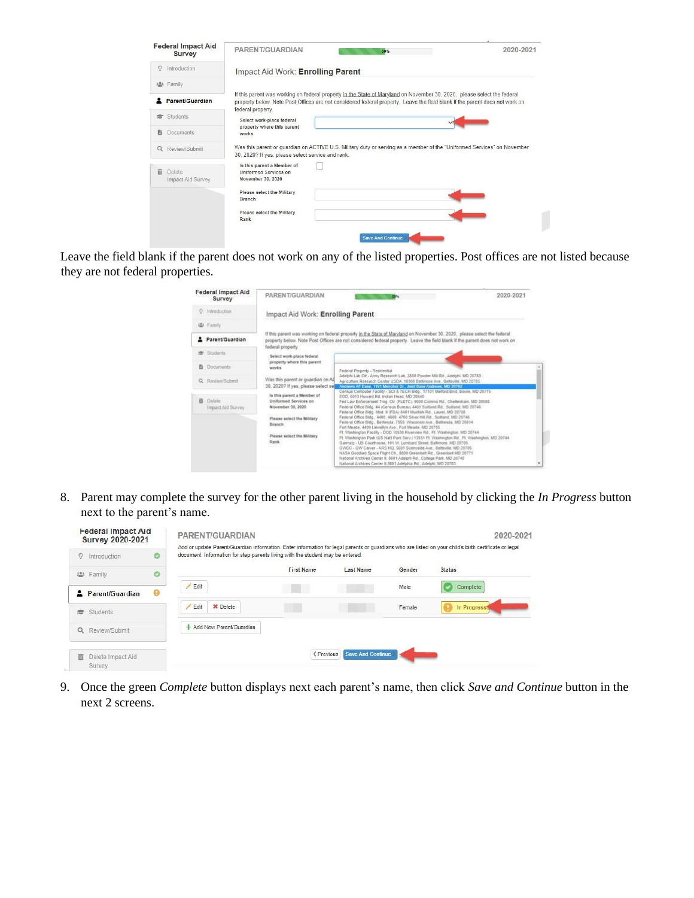| <b>Federal Impact Aid</b><br>Survey | PARENT/GUARDIAN<br>50%                                                                                                                                                                                                                                                      | 2020-2021 |
|-------------------------------------|-----------------------------------------------------------------------------------------------------------------------------------------------------------------------------------------------------------------------------------------------------------------------------|-----------|
| Introduction<br>Ω                   | Impact Aid Work: Enrolling Parent                                                                                                                                                                                                                                           |           |
| es Family                           |                                                                                                                                                                                                                                                                             |           |
| Parent/Guardian                     | If this parent was working on federal property in the State of Maryland on November 30, 2020, please select the federal<br>property below. Note Post Offices are not considered federal property. Leave the field blank if the parent does not work on<br>federal property. |           |
| Students<br>擅                       | Select work-place federal                                                                                                                                                                                                                                                   |           |
| <b>Documents</b>                    | property where this parent<br>works                                                                                                                                                                                                                                         |           |
| Review/Submit<br>$\alpha$           | Was this parent or guardian on ACTIVE U.S. Military duty or serving as a member of the "Uniformed Services" on November<br>30, 2020? If yes, please select service and rank.                                                                                                |           |
| 而<br>Delete<br>Impact Aid Survey    | Is this parent a Member of<br><b>Uniformed Services on</b><br>November 30, 2020                                                                                                                                                                                             |           |
|                                     | Please select the Military<br><b>Branch</b>                                                                                                                                                                                                                                 |           |
|                                     | Please select the Military<br>Rank                                                                                                                                                                                                                                          |           |
|                                     | <b>Save And Continue</b>                                                                                                                                                                                                                                                    |           |

Leave the field blank if the parent does not work on any of the listed properties. Post offices are not listed because they are not federal properties.

| <b>Federal Impact Aid</b><br>Survey | PARENT/GUARDIAN                                                          | 2020-2021<br><b>BB</b> <sub>N</sub>                                                                                                                                                                                                                                                                                                                                                                                                                                                                                                              |
|-------------------------------------|--------------------------------------------------------------------------|--------------------------------------------------------------------------------------------------------------------------------------------------------------------------------------------------------------------------------------------------------------------------------------------------------------------------------------------------------------------------------------------------------------------------------------------------------------------------------------------------------------------------------------------------|
| Introduction<br>O.                  | Impact Aid Work: Enrolling Parent                                        |                                                                                                                                                                                                                                                                                                                                                                                                                                                                                                                                                  |
| 选 Family                            |                                                                          |                                                                                                                                                                                                                                                                                                                                                                                                                                                                                                                                                  |
| Parent/Guardian                     | federal property.                                                        | If this parent was working on federal property in the State of Maryland on November 30, 2020, please select the federal<br>property below. Note Post Offices are not considered federal property. Leave the field blank if the parent does not work on                                                                                                                                                                                                                                                                                           |
| Students                            | Select work-place federal<br>property where this parent                  |                                                                                                                                                                                                                                                                                                                                                                                                                                                                                                                                                  |
| <b>Documents</b>                    | works                                                                    | Federal Property - Residential<br>Adelphi Lab Ctr - Army Research Lab, 2800 Powder Mill Rd., Adelphi, MD 20783                                                                                                                                                                                                                                                                                                                                                                                                                                   |
| Q. Review/Submit.                   | Was this parent or guardian on AQ<br>30, 2020? If yes, please select set | Agriculture Research Center USDA, 10300 Baltimore Ave., Beltsville, MD 20705.<br>Andrews AF Base, 1191 Memoher Dr., Joint Base Andrews, MD 20762.                                                                                                                                                                                                                                                                                                                                                                                                |
|                                     | Is this parent a Member of                                               | Census Computer Facility - SCI & TECH Bidg. 17101 Melford Bivd. Bowle, MD 20715.<br>EOD, 6013 Housed Rd, Indian Head, MD 20640                                                                                                                                                                                                                                                                                                                                                                                                                   |
| Delete<br>音<br>Impact Aid Survey    | Uniformed Services on<br>November 30, 2020                               | Fed Law Enforcement Trng. Ctr. (FLETC), 9000 Commo Rd., Chellenham, MD 20588.<br>Federal Office Bidg. #4 (Census Bureau) 4401 Sultland Rd., Sultland, MD 20746<br>Federal Office Bidg. Mod. Il (FDA) 8401 Murrick Rd., Laurel, MD 20705.                                                                                                                                                                                                                                                                                                         |
|                                     | Please select the Military<br>Branch                                     | Federal Office Bldg., 4400, 4600, 4700 Silver Hill Rd., Suitland, MD 20746.<br>Federal Office Bidg., Bethesda, 7550. Wisconsin Ave., Bethesda, MD 20814.<br>Fort Meade, 4409 Liewellyn Ave., Fort Meade, MD 20755                                                                                                                                                                                                                                                                                                                                |
|                                     | Please select the Military<br>Rank<br>-222                               | Ft. Washington Facility - DOD 10530 Riverview Rd., Ft. Washington, MD 20744<br>Ft. Washington Park (US Nat) Park Serv 113551 Ft. Washington Rd. Ft. Washington, MD 20744.<br>Garmatz - US Courthouse, 101 W. Lombard Street, Baltimore, MD 20705<br>GWCC - GW Carver - ARS HQ, 5601 Sunnyside Ave., Beltsville, MD 20705.<br>NASA Goddard Space Flight Ctr., 8800 Greenbelt Rd., Greenbelt MD 20771<br>National Archives Center II. 8601 Adelphi Rd., College Park, MD 20740<br>National Archives Center II.8601 Adelphia Rd., Adelphi, MD 20783 |

8. Parent may complete the survey for the other parent living in the household by clicking the *In Progress* button next to the parent's name.

| <b>Federal Impact Aid</b><br>Survey 2020-2021 |                       | PARENT/GUARDIAN                                                                |                   |                          |        | 2020-2021                                                                                                                                             |
|-----------------------------------------------|-----------------------|--------------------------------------------------------------------------------|-------------------|--------------------------|--------|-------------------------------------------------------------------------------------------------------------------------------------------------------|
| O<br>Introduction                             | O                     | document. Information for step-parents living with the student may be entered. |                   |                          |        | Add or update Parent/Guardian information. Enter information for legal parents or quardians who are listed on your child's birth certificate or legal |
| 223<br>Family                                 | Ö                     |                                                                                | <b>First Name</b> | Last Name                | Gender | <b>Status</b>                                                                                                                                         |
| Parent/Guardian<br>≞                          | $\boldsymbol{\Theta}$ | Edit                                                                           | ٠                 |                          | Male   | Complete                                                                                                                                              |
| Students<br>含                                 |                       | X Delete<br>Edit                                                               |                   |                          | Female | In Progress                                                                                                                                           |
| Review/Submit<br>$\Omega$                     |                       | + Add New Parent/Guardian                                                      |                   |                          |        |                                                                                                                                                       |
| 而<br>Delete Impact Aid<br>Survey              |                       |                                                                                | < Previous        | <b>Save And Continue</b> |        |                                                                                                                                                       |

9. Once the green *Complete* button displays next each parent's name, then click *Save and Continue* button in the next 2 screens.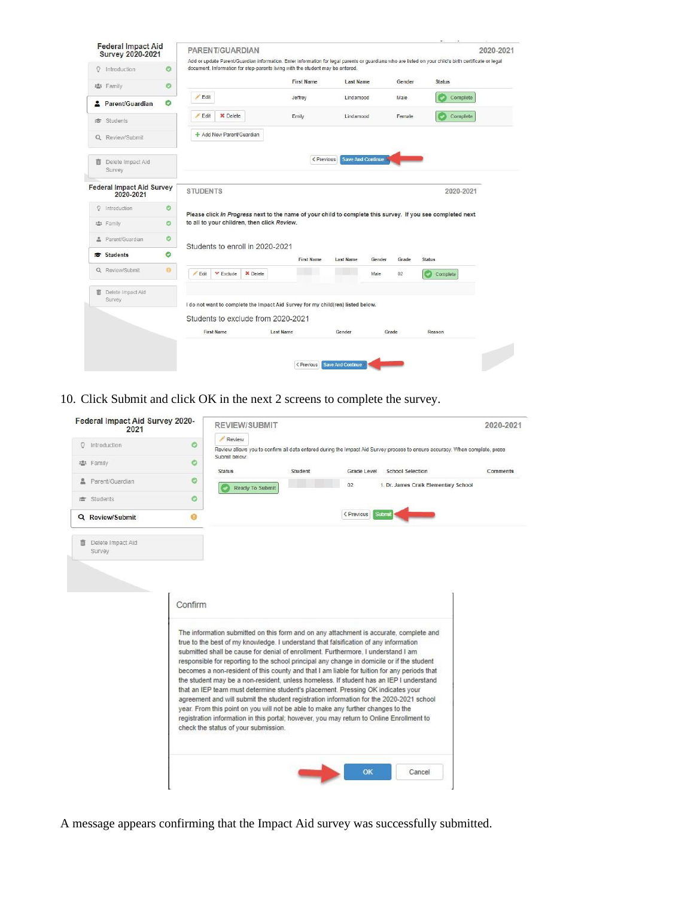| <b>Federal Impact Aid</b><br><b>Survey 2020-2021</b> |           |                 | PARENT/GUARDIAN                                                                 |                   |           |                          |                 | Add or update Parent/Guardian information. Enter information for legal parents or guardians who are listed on your child's birth certificate or legal | 2020-2021 |
|------------------------------------------------------|-----------|-----------------|---------------------------------------------------------------------------------|-------------------|-----------|--------------------------|-----------------|-------------------------------------------------------------------------------------------------------------------------------------------------------|-----------|
| $\circ$<br>Introduction                              | $\circ$   |                 | document. Information for step-parents living with the student may be entered.  |                   |           |                          |                 |                                                                                                                                                       |           |
| 2. Family                                            | O         |                 |                                                                                 | <b>First Name</b> | Last Name |                          | Gender          | <b>Status</b>                                                                                                                                         |           |
| 2 Parent/Guardian                                    | $\bullet$ | Edit            |                                                                                 | Jeffrey           | Lindamood |                          | Male            | Complete                                                                                                                                              |           |
| <b>虚</b> Students                                    |           | Edit            | <b>X</b> Delete                                                                 | Emily             | Lindamood |                          | Female          | Complete                                                                                                                                              |           |
| Q Review/Submit                                      |           |                 | + Add New Parent/Guardian                                                       |                   |           |                          |                 |                                                                                                                                                       |           |
|                                                      |           |                 |                                                                                 | < Previous        |           | <b>Save And Continue</b> |                 |                                                                                                                                                       |           |
| Delete Impact Aid<br>面<br>Survey                     |           |                 |                                                                                 |                   |           |                          |                 |                                                                                                                                                       |           |
| <b>Federal Impact Aid Survey</b><br>2020-2021        |           | <b>STUDENTS</b> |                                                                                 |                   |           |                          |                 | 2020-2021                                                                                                                                             |           |
| Introduction<br>$\mathcal{Q}$                        | $\circ$   |                 |                                                                                 |                   |           |                          |                 |                                                                                                                                                       |           |
| 塩 Family                                             | O         |                 | to all to your children, then click Review.                                     |                   |           |                          |                 | Please click In Progress next to the name of your child to complete this survey. If you see completed next                                            |           |
| 으<br>Parent/Guardian                                 | $\circ$   |                 |                                                                                 |                   |           |                          |                 |                                                                                                                                                       |           |
| <b><del>■</del></b> Students                         | $\bullet$ |                 | Students to enroll in 2020-2021                                                 | <b>First Name</b> | Last Name | Gender                   | Grade           | <b>Status</b>                                                                                                                                         |           |
| Q Review/Submit                                      | $\Theta$  | Edit            | $\times$ Delete<br>$\times$ Exclude                                             |                   |           | Male                     | 02 <sub>2</sub> | Complete                                                                                                                                              |           |
| 而<br>Delete Impact Aid<br>Survey                     |           |                 | I do not want to complete the Impact Aid Survey for my child(ren) listed below. |                   |           |                          |                 |                                                                                                                                                       |           |
|                                                      |           |                 | Students to exclude from 2020-2021                                              |                   |           |                          |                 |                                                                                                                                                       |           |

10. Click Submit and click OK in the next 2 screens to complete the survey.

| <b>Q</b> Introduction<br>● Family<br>Parent/Guardian<br>彦 Students<br>Q Review/Submit<br>Delete Impact Aid<br>Survey | Review<br>O<br>Submit below:<br>O<br><b>Status</b><br>O<br>۰<br>ഒ<br>Confirm                                                                                                                                                                                                                                                                                                                                                                                                                                                                                                                                                                                                                                                                                                                                                                                                                                                                                     | Student<br><b>Ready To Submit</b> | Grade Level<br>02<br>< Previous | <b>School Selection</b><br>1. Dr. James Craik Elementary School<br>Submit | Review allows you to confirm all data entered during the Impact Aid Survey process to ensure accuracy. When complete, press<br>Comments |
|----------------------------------------------------------------------------------------------------------------------|------------------------------------------------------------------------------------------------------------------------------------------------------------------------------------------------------------------------------------------------------------------------------------------------------------------------------------------------------------------------------------------------------------------------------------------------------------------------------------------------------------------------------------------------------------------------------------------------------------------------------------------------------------------------------------------------------------------------------------------------------------------------------------------------------------------------------------------------------------------------------------------------------------------------------------------------------------------|-----------------------------------|---------------------------------|---------------------------------------------------------------------------|-----------------------------------------------------------------------------------------------------------------------------------------|
|                                                                                                                      |                                                                                                                                                                                                                                                                                                                                                                                                                                                                                                                                                                                                                                                                                                                                                                                                                                                                                                                                                                  |                                   |                                 |                                                                           |                                                                                                                                         |
|                                                                                                                      |                                                                                                                                                                                                                                                                                                                                                                                                                                                                                                                                                                                                                                                                                                                                                                                                                                                                                                                                                                  |                                   |                                 |                                                                           |                                                                                                                                         |
|                                                                                                                      |                                                                                                                                                                                                                                                                                                                                                                                                                                                                                                                                                                                                                                                                                                                                                                                                                                                                                                                                                                  |                                   |                                 |                                                                           |                                                                                                                                         |
|                                                                                                                      |                                                                                                                                                                                                                                                                                                                                                                                                                                                                                                                                                                                                                                                                                                                                                                                                                                                                                                                                                                  |                                   |                                 |                                                                           |                                                                                                                                         |
|                                                                                                                      |                                                                                                                                                                                                                                                                                                                                                                                                                                                                                                                                                                                                                                                                                                                                                                                                                                                                                                                                                                  |                                   |                                 |                                                                           |                                                                                                                                         |
|                                                                                                                      |                                                                                                                                                                                                                                                                                                                                                                                                                                                                                                                                                                                                                                                                                                                                                                                                                                                                                                                                                                  |                                   |                                 |                                                                           |                                                                                                                                         |
|                                                                                                                      |                                                                                                                                                                                                                                                                                                                                                                                                                                                                                                                                                                                                                                                                                                                                                                                                                                                                                                                                                                  |                                   |                                 |                                                                           |                                                                                                                                         |
|                                                                                                                      | The information submitted on this form and on any attachment is accurate, complete and<br>true to the best of my knowledge. I understand that falsification of any information<br>submitted shall be cause for denial of enrollment. Furthermore, I understand I am<br>responsible for reporting to the school principal any change in domicile or if the student<br>becomes a non-resident of this county and that I am liable for tuition for any periods that<br>the student may be a non-resident, unless homeless. If student has an IEP I understand<br>that an IEP team must determine student's placement. Pressing OK indicates your<br>agreement and will submit the student registration information for the 2020-2021 school<br>year. From this point on you will not be able to make any further changes to the<br>registration information in this portal; however, you may return to Online Enrollment to<br>check the status of your submission. |                                   |                                 |                                                                           |                                                                                                                                         |

A message appears confirming that the Impact Aid survey was successfully submitted.